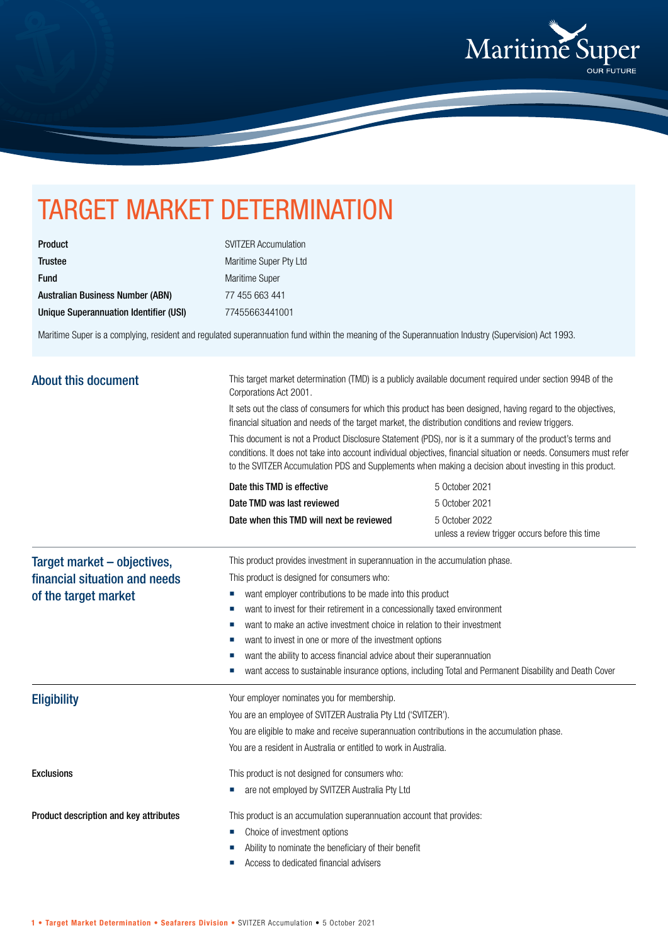

## TARGET MARKET DETERMINATION

| Product                                 |
|-----------------------------------------|
| <b>Trustee</b>                          |
| <b>Fund</b>                             |
| <b>Australian Business Number (ABN)</b> |
| Unique Superannuation Identifier (USI)  |

SVITZER Accumulation Maritime Super Pty Ltd Maritime Super 77 455 663 441 Unique Superannuation Identifier (USI) 77455663441001

Maritime Super is a complying, resident and regulated superannuation fund within the meaning of the Superannuation Industry (Supervision) Act 1993.

| <b>About this document</b>                                                           | This target market determination (TMD) is a publicly available document required under section 994B of the<br>Corporations Act 2001.<br>It sets out the class of consumers for which this product has been designed, having regard to the objectives,<br>financial situation and needs of the target market, the distribution conditions and review triggers.<br>This document is not a Product Disclosure Statement (PDS), nor is it a summary of the product's terms and<br>conditions. It does not take into account individual objectives, financial situation or needs. Consumers must refer<br>to the SVITZER Accumulation PDS and Supplements when making a decision about investing in this product. |                                                                                                        |
|--------------------------------------------------------------------------------------|--------------------------------------------------------------------------------------------------------------------------------------------------------------------------------------------------------------------------------------------------------------------------------------------------------------------------------------------------------------------------------------------------------------------------------------------------------------------------------------------------------------------------------------------------------------------------------------------------------------------------------------------------------------------------------------------------------------|--------------------------------------------------------------------------------------------------------|
|                                                                                      | Date this TMD is effective<br>Date TMD was last reviewed<br>Date when this TMD will next be reviewed                                                                                                                                                                                                                                                                                                                                                                                                                                                                                                                                                                                                         | 5 October 2021<br>5 October 2021<br>5 October 2022                                                     |
|                                                                                      |                                                                                                                                                                                                                                                                                                                                                                                                                                                                                                                                                                                                                                                                                                              | unless a review trigger occurs before this time                                                        |
| Target market - objectives,<br>financial situation and needs<br>of the target market | This product provides investment in superannuation in the accumulation phase.<br>This product is designed for consumers who:<br>want employer contributions to be made into this product<br>ш<br>want to invest for their retirement in a concessionally taxed environment<br>ш<br>want to make an active investment choice in relation to their investment<br>want to invest in one or more of the investment options<br>want the ability to access financial advice about their superannuation                                                                                                                                                                                                             | want access to sustainable insurance options, including Total and Permanent Disability and Death Cover |
| <b>Eligibility</b>                                                                   | Your employer nominates you for membership.<br>You are an employee of SVITZER Australia Pty Ltd ('SVITZER').<br>You are eligible to make and receive superannuation contributions in the accumulation phase.<br>You are a resident in Australia or entitled to work in Australia.                                                                                                                                                                                                                                                                                                                                                                                                                            |                                                                                                        |
| <b>Exclusions</b>                                                                    | This product is not designed for consumers who:<br>are not employed by SVITZER Australia Pty Ltd                                                                                                                                                                                                                                                                                                                                                                                                                                                                                                                                                                                                             |                                                                                                        |
| Product description and key attributes                                               | This product is an accumulation superannuation account that provides:<br>Choice of investment options<br>Ability to nominate the beneficiary of their benefit<br>Access to dedicated financial advisers                                                                                                                                                                                                                                                                                                                                                                                                                                                                                                      |                                                                                                        |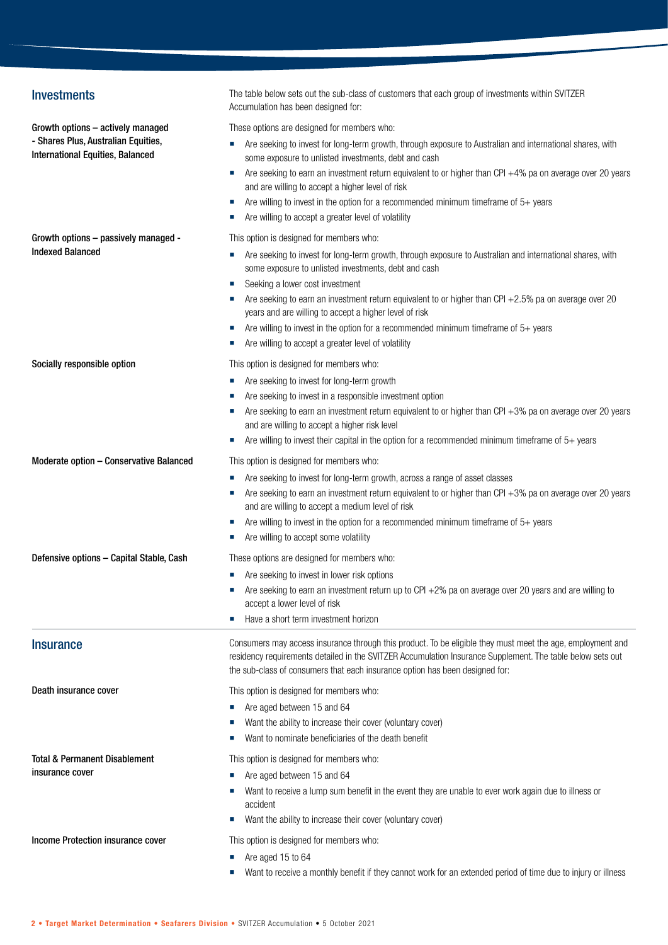| <b>Investments</b>                                                             | The table below sets out the sub-class of customers that each group of investments within SVITZER<br>Accumulation has been designed for:                                                                                                                                                                 |
|--------------------------------------------------------------------------------|----------------------------------------------------------------------------------------------------------------------------------------------------------------------------------------------------------------------------------------------------------------------------------------------------------|
| Growth options - actively managed                                              | These options are designed for members who:                                                                                                                                                                                                                                                              |
| - Shares Plus, Australian Equities,<br><b>International Equities, Balanced</b> | Are seeking to invest for long-term growth, through exposure to Australian and international shares, with<br>some exposure to unlisted investments, debt and cash                                                                                                                                        |
|                                                                                | Are seeking to earn an investment return equivalent to or higher than CPI +4% pa on average over 20 years<br>ш<br>and are willing to accept a higher level of risk                                                                                                                                       |
|                                                                                | Are willing to invest in the option for a recommended minimum timeframe of $5+$ years<br>×.<br>Are willing to accept a greater level of volatility                                                                                                                                                       |
| Growth options - passively managed -                                           | This option is designed for members who:                                                                                                                                                                                                                                                                 |
| <b>Indexed Balanced</b>                                                        | Are seeking to invest for long-term growth, through exposure to Australian and international shares, with<br>some exposure to unlisted investments, debt and cash                                                                                                                                        |
|                                                                                | Seeking a lower cost investment                                                                                                                                                                                                                                                                          |
|                                                                                | Are seeking to earn an investment return equivalent to or higher than CPI +2.5% pa on average over 20<br>years and are willing to accept a higher level of risk                                                                                                                                          |
|                                                                                | Are willing to invest in the option for a recommended minimum timeframe of $5+$ years                                                                                                                                                                                                                    |
|                                                                                | Are willing to accept a greater level of volatility<br>ш                                                                                                                                                                                                                                                 |
| Socially responsible option                                                    | This option is designed for members who:                                                                                                                                                                                                                                                                 |
|                                                                                | Are seeking to invest for long-term growth<br>ш                                                                                                                                                                                                                                                          |
|                                                                                | Are seeking to invest in a responsible investment option                                                                                                                                                                                                                                                 |
|                                                                                | Are seeking to earn an investment return equivalent to or higher than CPI $+3%$ pa on average over 20 years                                                                                                                                                                                              |
|                                                                                | and are willing to accept a higher risk level                                                                                                                                                                                                                                                            |
|                                                                                | Are willing to invest their capital in the option for a recommended minimum timeframe of $5+$ years                                                                                                                                                                                                      |
| Moderate option - Conservative Balanced                                        | This option is designed for members who:                                                                                                                                                                                                                                                                 |
|                                                                                | Are seeking to invest for long-term growth, across a range of asset classes                                                                                                                                                                                                                              |
|                                                                                | Are seeking to earn an investment return equivalent to or higher than CPI +3% pa on average over 20 years<br>and are willing to accept a medium level of risk                                                                                                                                            |
|                                                                                | Are willing to invest in the option for a recommended minimum timeframe of $5+$ years<br>×.                                                                                                                                                                                                              |
|                                                                                | Are willing to accept some volatility                                                                                                                                                                                                                                                                    |
| Defensive options - Capital Stable, Cash                                       | These options are designed for members who:                                                                                                                                                                                                                                                              |
|                                                                                | • Are seeking to invest in lower risk options                                                                                                                                                                                                                                                            |
|                                                                                | Are seeking to earn an investment return up to CPI +2% pa on average over 20 years and are willing to<br>accept a lower level of risk                                                                                                                                                                    |
|                                                                                | Have a short term investment horizon                                                                                                                                                                                                                                                                     |
| <b>Insurance</b>                                                               | Consumers may access insurance through this product. To be eligible they must meet the age, employment and<br>residency requirements detailed in the SVITZER Accumulation Insurance Supplement. The table below sets out<br>the sub-class of consumers that each insurance option has been designed for: |
| Death insurance cover                                                          | This option is designed for members who:                                                                                                                                                                                                                                                                 |
|                                                                                | Are aged between 15 and 64                                                                                                                                                                                                                                                                               |
|                                                                                | Want the ability to increase their cover (voluntary cover)                                                                                                                                                                                                                                               |
|                                                                                | Want to nominate beneficiaries of the death benefit                                                                                                                                                                                                                                                      |
| Total & Permanent Disablement                                                  | This option is designed for members who:                                                                                                                                                                                                                                                                 |
| insurance cover                                                                | Are aged between 15 and 64                                                                                                                                                                                                                                                                               |
|                                                                                | Want to receive a lump sum benefit in the event they are unable to ever work again due to illness or<br>accident                                                                                                                                                                                         |
|                                                                                | Want the ability to increase their cover (voluntary cover)                                                                                                                                                                                                                                               |
| Income Protection insurance cover                                              | This option is designed for members who:                                                                                                                                                                                                                                                                 |
|                                                                                | Are aged 15 to 64                                                                                                                                                                                                                                                                                        |
|                                                                                | Want to receive a monthly benefit if they cannot work for an extended period of time due to injury or illness                                                                                                                                                                                            |